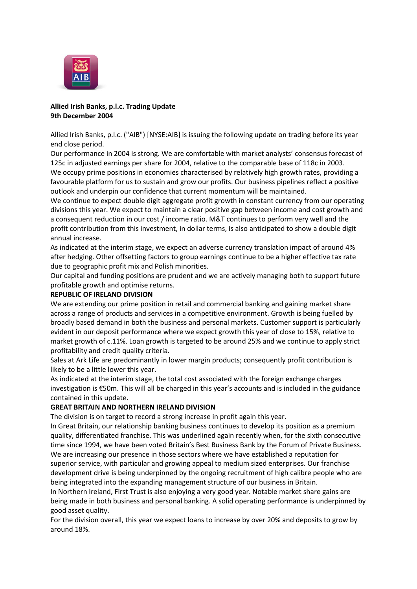

# **Allied Irish Banks, p.l.c. Trading Update 9th December 2004**

Allied Irish Banks, p.l.c. ("AIB") [NYSE:AIB] is issuing the following update on trading before its year end close period.

Our performance in 2004 is strong. We are comfortable with market analysts' consensus forecast of 125c in adjusted earnings per share for 2004, relative to the comparable base of 118c in 2003. We occupy prime positions in economies characterised by relatively high growth rates, providing a favourable platform for us to sustain and grow our profits. Our business pipelines reflect a positive outlook and underpin our confidence that current momentum will be maintained.

We continue to expect double digit aggregate profit growth in constant currency from our operating divisions this year. We expect to maintain a clear positive gap between income and cost growth and a consequent reduction in our cost / income ratio. M&T continues to perform very well and the profit contribution from this investment, in dollar terms, is also anticipated to show a double digit annual increase.

As indicated at the interim stage, we expect an adverse currency translation impact of around 4% after hedging. Other offsetting factors to group earnings continue to be a higher effective tax rate due to geographic profit mix and Polish minorities.

Our capital and funding positions are prudent and we are actively managing both to support future profitable growth and optimise returns.

### **REPUBLIC OF IRELAND DIVISION**

We are extending our prime position in retail and commercial banking and gaining market share across a range of products and services in a competitive environment. Growth is being fuelled by broadly based demand in both the business and personal markets. Customer support is particularly evident in our deposit performance where we expect growth this year of close to 15%, relative to market growth of c.11%. Loan growth is targeted to be around 25% and we continue to apply strict profitability and credit quality criteria.

Sales at Ark Life are predominantly in lower margin products; consequently profit contribution is likely to be a little lower this year.

As indicated at the interim stage, the total cost associated with the foreign exchange charges investigation is €50m. This will all be charged in this year's accounts and is included in the guidance contained in this update.

## **GREAT BRITAIN AND NORTHERN IRELAND DIVISION**

The division is on target to record a strong increase in profit again this year.

In Great Britain, our relationship banking business continues to develop its position as a premium quality, differentiated franchise. This was underlined again recently when, for the sixth consecutive time since 1994, we have been voted Britain's Best Business Bank by the Forum of Private Business. We are increasing our presence in those sectors where we have established a reputation for superior service, with particular and growing appeal to medium sized enterprises. Our franchise development drive is being underpinned by the ongoing recruitment of high calibre people who are being integrated into the expanding management structure of our business in Britain.

In Northern Ireland, First Trust is also enjoying a very good year. Notable market share gains are being made in both business and personal banking. A solid operating performance is underpinned by good asset quality.

For the division overall, this year we expect loans to increase by over 20% and deposits to grow by around 18%.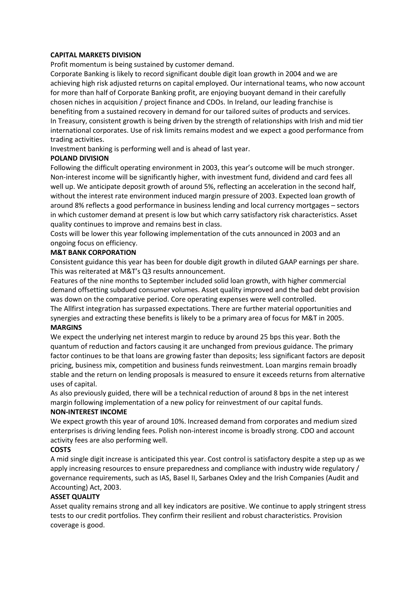### **CAPITAL MARKETS DIVISION**

Profit momentum is being sustained by customer demand.

Corporate Banking is likely to record significant double digit loan growth in 2004 and we are achieving high risk adjusted returns on capital employed. Our international teams, who now account for more than half of Corporate Banking profit, are enjoying buoyant demand in their carefully chosen niches in acquisition / project finance and CDOs. In Ireland, our leading franchise is benefiting from a sustained recovery in demand for our tailored suites of products and services. In Treasury, consistent growth is being driven by the strength of relationships with Irish and mid tier international corporates. Use of risk limits remains modest and we expect a good performance from trading activities.

Investment banking is performing well and is ahead of last year.

### **POLAND DIVISION**

Following the difficult operating environment in 2003, this year's outcome will be much stronger. Non-interest income will be significantly higher, with investment fund, dividend and card fees all well up. We anticipate deposit growth of around 5%, reflecting an acceleration in the second half, without the interest rate environment induced margin pressure of 2003. Expected loan growth of around 8% reflects a good performance in business lending and local currency mortgages – sectors in which customer demand at present is low but which carry satisfactory risk characteristics. Asset quality continues to improve and remains best in class.

Costs will be lower this year following implementation of the cuts announced in 2003 and an ongoing focus on efficiency.

### **M&T BANK CORPORATION**

Consistent guidance this year has been for double digit growth in diluted GAAP earnings per share. This was reiterated at M&T's Q3 results announcement.

Features of the nine months to September included solid loan growth, with higher commercial demand offsetting subdued consumer volumes. Asset quality improved and the bad debt provision was down on the comparative period. Core operating expenses were well controlled.

The Allfirst integration has surpassed expectations. There are further material opportunities and synergies and extracting these benefits is likely to be a primary area of focus for M&T in 2005. **MARGINS**

We expect the underlying net interest margin to reduce by around 25 bps this year. Both the quantum of reduction and factors causing it are unchanged from previous guidance. The primary factor continues to be that loans are growing faster than deposits; less significant factors are deposit pricing, business mix, competition and business funds reinvestment. Loan margins remain broadly stable and the return on lending proposals is measured to ensure it exceeds returns from alternative uses of capital.

As also previously guided, there will be a technical reduction of around 8 bps in the net interest margin following implementation of a new policy for reinvestment of our capital funds.

#### **NON-INTEREST INCOME**

We expect growth this year of around 10%. Increased demand from corporates and medium sized enterprises is driving lending fees. Polish non-interest income is broadly strong. CDO and account activity fees are also performing well.

## **COSTS**

A mid single digit increase is anticipated this year. Cost control is satisfactory despite a step up as we apply increasing resources to ensure preparedness and compliance with industry wide regulatory / governance requirements, such as IAS, Basel II, Sarbanes Oxley and the Irish Companies (Audit and Accounting) Act, 2003.

## **ASSET QUALITY**

Asset quality remains strong and all key indicators are positive. We continue to apply stringent stress tests to our credit portfolios. They confirm their resilient and robust characteristics. Provision coverage is good.